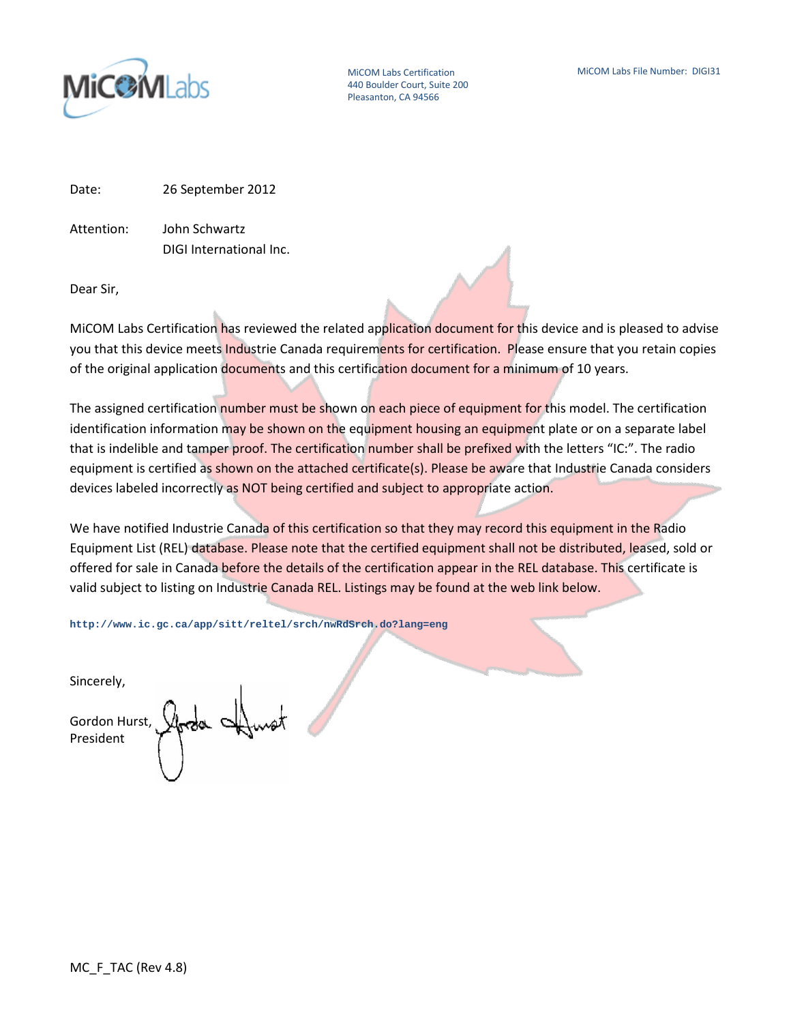

MiCOM Labs Certification 440 Boulder Court, Suite 200 Pleasanton, CA 94566

Date: 26 September 2012

Attention: John Schwartz DIGI International Inc.

Dear Sir,

MiCOM Labs Certification has reviewed the related application document for this device and is pleased to advise you that this device meets Industrie Canada requirements for certification. Please ensure that you retain copies of the original application documents and this certification document for a minimum of 10 years.

The assigned certification number must be shown on each piece of equipment for this model. The certification identification information may be shown on the equipment housing an equipment plate or on a separate label that is indelible and tamper proof. The certification number shall be prefixed with the letters "IC:". The radio equipment is certified as shown on the attached certificate(s). Please be aware that Industrie Canada considers devices labeled incorrectly as NOT being certified and subject to appropriate action.

We have notified Industrie Canada of this certification so that they may record this equipment in the Radio Equipment List (REL) database. Please note that the certified equipment shall not be distributed, leased, sold or offered for sale in Canada before the details of the certification appear in the REL database. This certificate is valid subject to listing on Industrie Canada REL. Listings may be found at the web link below.

**http://www.ic.gc.ca/app/sitt/reltel/srch/nwRdSrch.do?lang=eng**

Sincerely,

Gordon Hurst, President